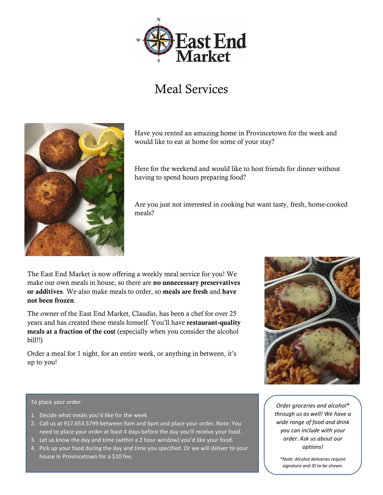

## Meal Services



Have you rented an amazing home in Provincetown for the week and would like to eat at home for some of your stay?

Here for the weekend and would like to host friends for dinner without having to spend hours preparing food?

Are you just not interested in cooking but want tasty, fresh, home-cooked meals?

The East End Market is now offering a weekly meal service for you! We make our own meals in house, so there are no unnecessary preservatives or additives. We also make meals to order, so meals are fresh and have not been frozen.

The owner of the East End Market, Claudio, has been a chef for over 25 years and has created these meals himself. You'll have restaurant-quality meals at a fraction of the cost (especially when you consider the alcohol bill!!)

Order a meal for 1 night, for an entire week, or anything in between, it's up to you!



## To place your order:

- 1. Decide what meals you'd like for the week
- 2. Call us at 917.653.5799 between 9am and 6pm and place your order. Note: You need to place your order at least 4 days before the day you'll receive your food.
- 3. Let us know the day and time (within a 2 hour window) you'd like your food.
- 4. Pick up your food during the day and time you specified. Or we will deliver to your house in Provincetown for a \$10 fee.

*Order groceries and alcohol\* through us as well! We have a wide range of food and drink you can include with your order. Ask us about our options!*

*\*Note: Alcohol deliveries require signature and ID to be shown.*